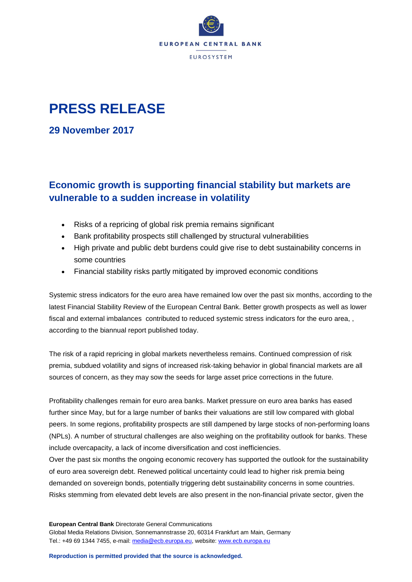

## **PRESS RELEASE**

**29 November 2017**

## **Economic growth is supporting financial stability but markets are vulnerable to a sudden increase in volatility**

- Risks of a repricing of global risk premia remains significant
- Bank profitability prospects still challenged by structural vulnerabilities
- High private and public debt burdens could give rise to debt sustainability concerns in some countries
- Financial stability risks partly mitigated by improved economic conditions

Systemic stress indicators for the euro area have remained low over the past six months, according to the latest Financial Stability Review of the European Central Bank. Better growth prospects as well as lower fiscal and external imbalances contributed to reduced systemic stress indicators for the euro area, , according to the biannual report published today.

The risk of a rapid repricing in global markets nevertheless remains. Continued compression of risk premia, subdued volatility and signs of increased risk-taking behavior in global financial markets are all sources of concern, as they may sow the seeds for large asset price corrections in the future.

Profitability challenges remain for euro area banks. Market pressure on euro area banks has eased further since May, but for a large number of banks their valuations are still low compared with global peers. In some regions, profitability prospects are still dampened by large stocks of non-performing loans (NPLs). A number of structural challenges are also weighing on the profitability outlook for banks. These include overcapacity, a lack of income diversification and cost inefficiencies.

Over the past six months the ongoing economic recovery has supported the outlook for the sustainability of euro area sovereign debt. Renewed political uncertainty could lead to higher risk premia being demanded on sovereign bonds, potentially triggering debt sustainability concerns in some countries. Risks stemming from elevated debt levels are also present in the non-financial private sector, given the

**European Central Bank** Directorate General Communications Global Media Relations Division, Sonnemannstrasse 20, 60314 Frankfurt am Main, Germany Tel.: +49 69 1344 7455, e-mail: [media@ecb.europa.eu,](mailto:media@ecb.europa.eu) website[: www.ecb.europa.eu](http://www.ecb.europa.eu/)

**Reproduction is permitted provided that the source is acknowledged.**